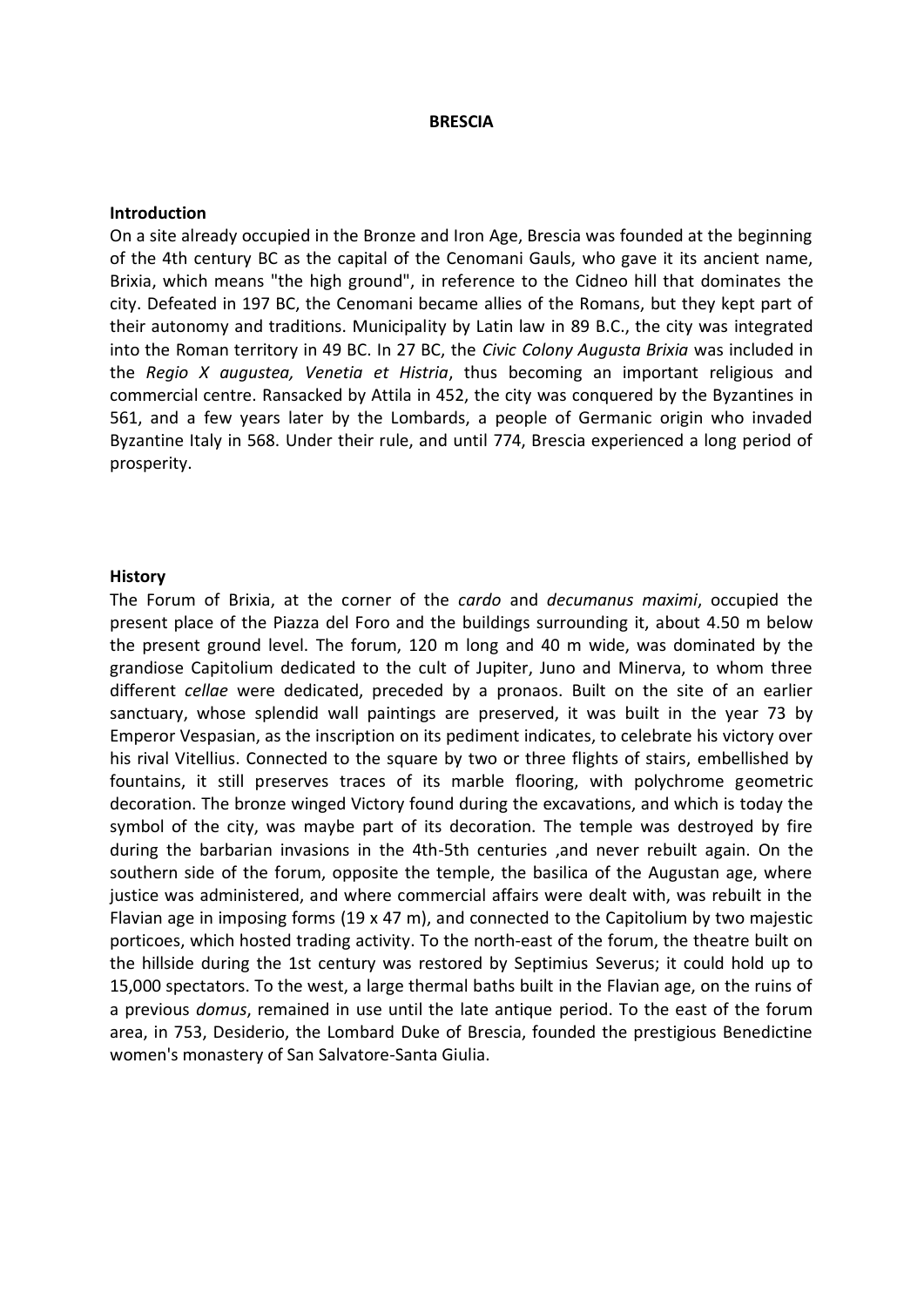## **BRESCIA**

## **Introduction**

On a site already occupied in the Bronze and Iron Age, Brescia was founded at the beginning of the 4th century BC as the capital of the Cenomani Gauls, who gave it its ancient name, Brixia, which means "the high ground", in reference to the Cidneo hill that dominates the city. Defeated in 197 BC, the Cenomani became allies of the Romans, but they kept part of their autonomy and traditions. Municipality by Latin law in 89 B.C., the city was integrated into the Roman territory in 49 BC. In 27 BC, the *Civic Colony Augusta Brixia* was included in the *Regio X augustea, Venetia et Histria*, thus becoming an important religious and commercial centre. Ransacked by Attila in 452, the city was conquered by the Byzantines in 561, and a few years later by the Lombards, a people of Germanic origin who invaded Byzantine Italy in 568. Under their rule, and until 774, Brescia experienced a long period of prosperity.

## **History**

The Forum of Brixia, at the corner of the *cardo* and *decumanus maximi*, occupied the present place of the Piazza del Foro and the buildings surrounding it, about 4.50 m below the present ground level. The forum, 120 m long and 40 m wide, was dominated by the grandiose Capitolium dedicated to the cult of Jupiter, Juno and Minerva, to whom three different *cellae* were dedicated, preceded by a pronaos. Built on the site of an earlier sanctuary, whose splendid wall paintings are preserved, it was built in the year 73 by Emperor Vespasian, as the inscription on its pediment indicates, to celebrate his victory over his rival Vitellius. Connected to the square by two or three flights of stairs, embellished by fountains, it still preserves traces of its marble flooring, with polychrome geometric decoration. The bronze winged Victory found during the excavations, and which is today the symbol of the city, was maybe part of its decoration. The temple was destroyed by fire during the barbarian invasions in the 4th-5th centuries ,and never rebuilt again. On the southern side of the forum, opposite the temple, the basilica of the Augustan age, where justice was administered, and where commercial affairs were dealt with, was rebuilt in the Flavian age in imposing forms  $(19 \times 47 \text{ m})$ , and connected to the Capitolium by two majestic porticoes, which hosted trading activity. To the north-east of the forum, the theatre built on the hillside during the 1st century was restored by Septimius Severus; it could hold up to 15,000 spectators. To the west, a large thermal baths built in the Flavian age, on the ruins of a previous *domus*, remained in use until the late antique period. To the east of the forum area, in 753, Desiderio, the Lombard Duke of Brescia, founded the prestigious Benedictine women's monastery of San Salvatore-Santa Giulia.